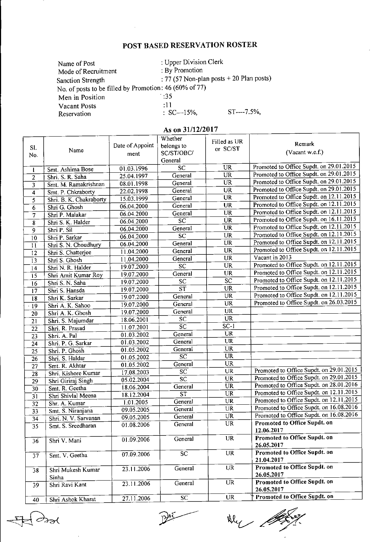## POST BASED RESERVATION ROSTER

| Name of Post                                           | : Upper Division Clerk                     |                           |
|--------------------------------------------------------|--------------------------------------------|---------------------------|
| Mode of Recruitment                                    | : By Promotion                             |                           |
| <b>Sanction Strength</b>                               | : 77 (57 Non-plan posts $+$ 20 Plan posts) |                           |
| No. of posts to be filled by Promotion: 46 (60% of 77) |                                            |                           |
| Men in Position                                        | - 35                                       |                           |
| <b>Vacant Posts</b>                                    | :11                                        |                           |
| Reservation                                            | $\therefore$ SC—15%,                       | $ST \rightarrow -7.5\%$ , |

## As on 31/12/2017

|                         |                         |                 | Whether                                  | Filled as UR           |                                            |
|-------------------------|-------------------------|-----------------|------------------------------------------|------------------------|--------------------------------------------|
| S1.                     | Name                    | Date of Appoint | belongs to                               | or SC/ST               | Remark                                     |
| No.                     |                         | ment            | SC/ST/OBC/                               |                        | (Vacant w.e.f.)                            |
|                         |                         |                 | General                                  |                        |                                            |
| 1                       | Smt. Ashima Bose        | 01.03.1996      | $\overline{SC}$                          | <b>UR</b>              | Promoted to Office Supdt. on 29.01.2015    |
| $\overline{c}$          | Shri. S. R. Saha        | 25.04.1997      | General                                  | <b>UR</b>              | Promoted to Office Supdt. on 29.01.2015    |
| $\overline{\mathbf{3}}$ | Smt. M. Ramakrishnan    | 08.01.1998      | General                                  | <b>UR</b>              | Promoted to Office Supdt. on 29.01.2015    |
| $\overline{\bf{4}}$     | Smt. P. Chkraborty      | 22.02.1998      | General                                  | $\overline{\text{UR}}$ | Promoted to Office Supdt. on 29.01.2015    |
| $\overline{5}$          | Shri. B. K. Chakraborty | 15.03.1999      | General                                  | <b>UR</b>              | Promoted to Office Supdt. on $12.11.2015$  |
| 6                       | Shri G. Ghosh           | 06.04.2000      | General                                  | $\overline{\text{UR}}$ | Promoted to Office Supdt. on 12.11.2015    |
| 7                       | Shri P. Malakar         | 06.04.2000      | General                                  | <b>UR</b>              | Promoted to Office Supdt. on 12.11.2015    |
| $\overline{\mathbf{8}}$ | Shri S. K. Halder       | 06.04.2000      | $\overline{SC}$                          | ŨR                     | Promoted to Office Supdt. on 16.11.2015    |
| 9                       | Shri P. Sil             | 06.04.2000      | General                                  | <b>UR</b>              | Promoted to Office Supdt. on 12.11.2015    |
| $\overline{10}$         | Shri P. Sarkar          | 06.04.2000      | SC                                       | <b>UR</b>              | Promoted to Office Supdt. on 12.11.2015    |
| $\overline{11}$         | Shri S. N. Choudhury    | 06.04.2000      | General                                  | UR                     | Promoted to Office Supdt. on 12.11.2015    |
| $\overline{12}$         | Shri S. Chatterjee      | 11.04.2000      | General                                  | <b>UR</b>              | Promoted to Office Supdt. on 12.11.2015    |
| 13                      | Shri S Ghosh            | 11.04.2000      | General                                  | <b>UR</b>              | Vacant in 2013                             |
| 14                      | Shri N. R. Halder       | 19.07.2000      | $\overline{SC}$                          | <b>UR</b>              | Promoted to Office Supdt. on 12.11.2015    |
| 15                      | Shri Amit Kumar Roy     | 19.07.2000      | General                                  | <b>UR</b>              | Promoted to Office Supdt. on 12.11.2015    |
| 16                      | Shri S. N. Saha         | 19.07.2000      | SC                                       | $\overline{SC}$        | Promoted to Office Supdt. on 12.11.2015    |
| $\overline{17}$         | Shri S. Hansda          | 19.07.2000      | $\overline{\text{ST}}$                   | <b>UR</b>              | Promoted to Office Supdt. on 12.11.2015    |
| $\overline{18}$         | Shri K. Sarkar          | 19.07.2000      | General                                  | $\overline{\text{UR}}$ | Promoted to Office Supdt. on 12.11.2015    |
| $\overline{19}$         | Shri A. K. Sahoo        | 19.07.2000      | General                                  | $\overline{\text{UR}}$ | Promoted to Office Supdt. on 26.03.2015    |
| 20                      | Shri A. K. Ghosh        | 19.07.2000      | General                                  | $\overline{\text{UR}}$ |                                            |
| $\overline{21}$         | Shri. S. Majumdar       | 18.06.2001      | <b>SC</b>                                | <b>UR</b>              |                                            |
| $\overline{22}$         | Shri. R. Prasad         | 11.07.2001      | $\overline{\text{sc}}$                   | $SC-1$                 |                                            |
| 23                      | Shri. A. Pal            | 01.03.2002      | General                                  | $\overline{U}R$        |                                            |
| $\overline{24}$         | Shri. P. G. Sarkar      | 01.03.2002      | General                                  | <b>UR</b>              |                                            |
| $\overline{25}$         | Shri. P. Ghosh          | 01.05.2002      | General                                  | <b>UR</b>              |                                            |
| 26                      | Shri. S. Haldar         | 01.05.2002      | $\overline{SC}$                          | <b>UR</b>              |                                            |
| 27                      | Smt. R. Akhtar          | 01.05.2002      | General                                  | <b>UR</b>              |                                            |
| 28                      | Shri. Kishore Kumar     | 17.08.2003      | $\overline{SC}$                          | UR                     | Promoted to Office Supdt. on 29.01.2015    |
| 29                      | Shri Giriraj Singh      | 05.02.2004      | $\overline{SC}$                          | <b>UR</b>              | Promoted to Office Supdt. on 29.01.2015    |
| $\overline{30}$         | Smt. R. Geetha          | 18.06.2004      | General                                  | <b>UR</b>              | Promoted to Office Supdt. on 28.01.2016    |
| $\overline{31}$         | Shri Shivlal Meena      | 18.12.2004      | $\overline{\text{s}}\overline{\text{T}}$ | UR                     | Promoted to Office Supdt. on 12.11.2015    |
| $\overline{32}$         | Shr. A. Kumar           | 1.01.2005       | General                                  | <b>UR</b>              | Promoted to Office Supdt. on 12.11.2015    |
| $\overline{33}$         | Smt. S. Niranjana       | 09.05.2005      | General                                  | UR                     | Promoted to Office Supdt. on 16.08.2016    |
| $\overline{34}$         | Shri. N. V. Sarvanan    | 09.05.2005      | General                                  | <b>UR</b>              | Promoted to Office Supdt. on 16.08.2016    |
| 35                      | Smt. S. Sreedharan      | 01.08.2006      | General                                  | UR                     | Promoted to Office Supdt. on               |
|                         |                         |                 |                                          |                        | 12.06.2017<br>Promoted to Office Supdt. on |
| 36                      | Shri V. Mani            | 01.09.2006      | General                                  | <b>UR</b>              |                                            |
|                         |                         |                 |                                          |                        | 26.05.2017<br>Promoted to Office Supdt. on |
| 37                      | Smt. V. Geetha          | 07.09.2006      | $\overline{SC}$                          | $\overline{\text{UR}}$ | 21.04.2017                                 |
|                         |                         |                 |                                          | $\overline{UR}$        | Promoted to Office Supdt. on               |
| 38                      | Shri Mukesh Kumar       | 23.11.2006      | General                                  |                        | 26.05.2017                                 |
|                         | Sinha                   |                 |                                          | $\overline{\text{UR}}$ | Promoted to Office Supdt. on               |
| 39                      | Shri Ravi Kant          | 23.11.2006      | General                                  |                        | 26.05.2017                                 |
|                         |                         |                 |                                          | <b>UR</b>              | Promoted to Office Supdt. on               |
| 40                      | Shri Ashok Kharat       | 27.11.2006      | SC                                       |                        |                                            |

 $\overline{\mathscr{A}}$ 

DAS

Why the